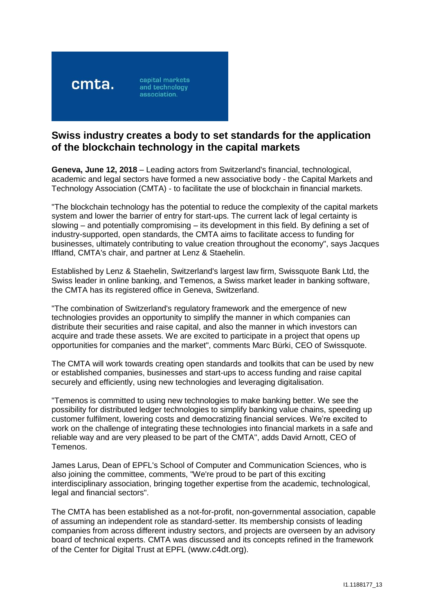

# **Swiss industry creates a body to set standards for the application of the blockchain technology in the capital markets**

**Geneva, June 12, 2018** – Leading actors from Switzerland's financial, technological, academic and legal sectors have formed a new associative body - the Capital Markets and Technology Association (CMTA) - to facilitate the use of blockchain in financial markets.

"The blockchain technology has the potential to reduce the complexity of the capital markets system and lower the barrier of entry for start-ups. The current lack of legal certainty is slowing – and potentially compromising – its development in this field. By defining a set of industry-supported, open standards, the CMTA aims to facilitate access to funding for businesses, ultimately contributing to value creation throughout the economy", says Jacques Iffland, CMTA's chair, and partner at Lenz & Staehelin.

Established by Lenz & Staehelin, Switzerland's largest law firm, Swissquote Bank Ltd, the Swiss leader in online banking, and Temenos, a Swiss market leader in banking software, the CMTA has its registered office in Geneva, Switzerland.

"The combination of Switzerland's regulatory framework and the emergence of new technologies provides an opportunity to simplify the manner in which companies can distribute their securities and raise capital, and also the manner in which investors can acquire and trade these assets. We are excited to participate in a project that opens up opportunities for companies and the market", comments Marc Bürki, CEO of Swissquote.

The CMTA will work towards creating open standards and toolkits that can be used by new or established companies, businesses and start-ups to access funding and raise capital securely and efficiently, using new technologies and leveraging digitalisation.

"Temenos is committed to using new technologies to make banking better. We see the possibility for distributed ledger technologies to simplify banking value chains, speeding up customer fulfilment, lowering costs and democratizing financial services. We're excited to work on the challenge of integrating these technologies into financial markets in a safe and reliable way and are very pleased to be part of the CMTA", adds David Arnott, CEO of Temenos.

James Larus, Dean of EPFL's School of Computer and Communication Sciences, who is also joining the committee, comments, "We're proud to be part of this exciting interdisciplinary association, bringing together expertise from the academic, technological, legal and financial sectors".

The CMTA has been established as a not-for-profit, non-governmental association, capable of assuming an independent role as standard-setter. Its membership consists of leading companies from across different industry sectors, and projects are overseen by an advisory board of technical experts. CMTA was discussed and its concepts refined in the framework of the Center for Digital Trust at EPFL ([www.c4dt.org](https://urldefense.proofpoint.com/v2/url?u=http-3A__www.c4dt.org&d=DwMFaQ&c=YMLubgQhxwtf7P90DH4HbZKgn3ILksg2MkgYqntdPnw&r=9j9FUoQxg1OUepC_p5VDOIRM0yLvA-wYa3YCGosEI2v-XXOh0bSh6zBW8uxRBXp-&m=98P-TXpgvdYdHQrtiMfZXH-I1HOcXsWBBZwAvsjRCt8&s=XOp_QQ1nj_1Crxl7JZk27zZj65aSx3IBbbpIodtxbgg&e=)).